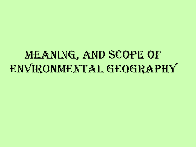# MEANING, AND SCOPE OF environmental geography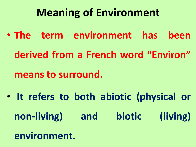## **Meaning of Environment**

- **The term environment has been**
	- **derived from a French word "Environ"**
	- **means to surround.**
- **It refers to both abiotic (physical or non-living) and biotic (living)**
	- **environment.**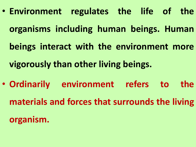- **Environment regulates the life of the organisms including human beings. Human beings interact with the environment more vigorously than other living beings.**
- **Ordinarily environment refers to the materials and forces that surrounds the living organism.**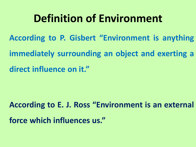### **Definition of Environment**

**According to P. Gisbert "Environment is anything**

**immediately surrounding an object and exerting a**

**direct influence on it. "**

**According to E. J. Ross "Environment is an external force which influences us. "**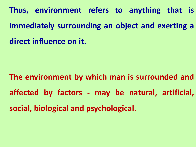**Thus, environment refers to anything that is immediately surrounding an object and exerting a direct influence on it.**

**The environment by which man is surrounded and affected by factors - may be natural, artificial, social, biological and psychological.**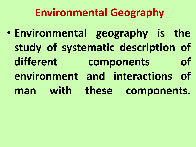## **Environmental Geography**

• **Environmental geography is the study of systematic description of different components of environment and interactions of man with these components.**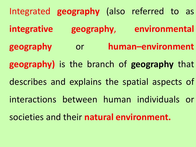Integrated **geography** (also referred to as **integrative geography**, **environmental geography** or **human–environment geography)** is the branch of **geography** that describes and explains the spatial aspects of interactions between human individuals or societies and their **natural environment.**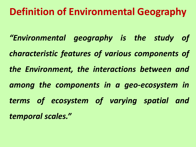#### **Definition of Environmental Geography**

*"Environmental geography is the study of characteristic features of various components of the Environment, the interactions between and among the components in a geo-ecosystem in terms of ecosystem of varying spatial and temporal scales. "*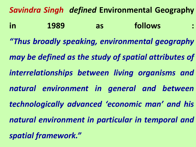*Savindra Singh defined* **Environmental Geography in 1989 as follows :** *"Thus broadly speaking, environmental geography may be defined as the study of spatial attributes of interrelationships between living organisms and natural environment in general and between technologically advanced 'economic man' and his natural environment in particular in temporal and spatial framework. "*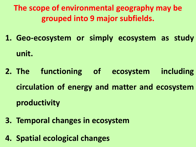**The scope of environmental geography may be grouped into 9 major subfields.**

- **1. Geo-ecosystem or simply ecosystem as study unit.**
- **2. The functioning of ecosystem including circulation of energy and matter and ecosystem productivity**
- **3. Temporal changes in ecosystem**
- **4. Spatial ecological changes**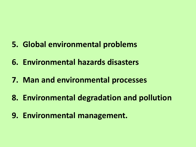- **5. Global environmental problems**
- **6. Environmental hazards disasters**
- **7. Man and environmental processes**
- **8. Environmental degradation and pollution**
- **9. Environmental management.**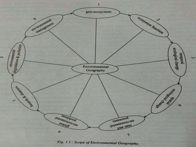

Fig. 1.1 : Scope of Environmental Geography.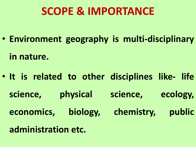### **SCOPE & IMPORTANCE**

• **Environment geography is multi-disciplinary**

**in nature.**

- **It is related to other disciplines like- life science, physical science, ecology, economics, biology, chemistry, public**
	- **administration etc.**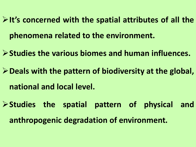**It's concerned with the spatial attributes of all the phenomena related to the environment.**

**Studies the various biomes and human influences.**

**Deals with the pattern of biodiversity at the global, national and local level.**

**Studies the spatial pattern of physical and anthropogenic degradation of environment.**